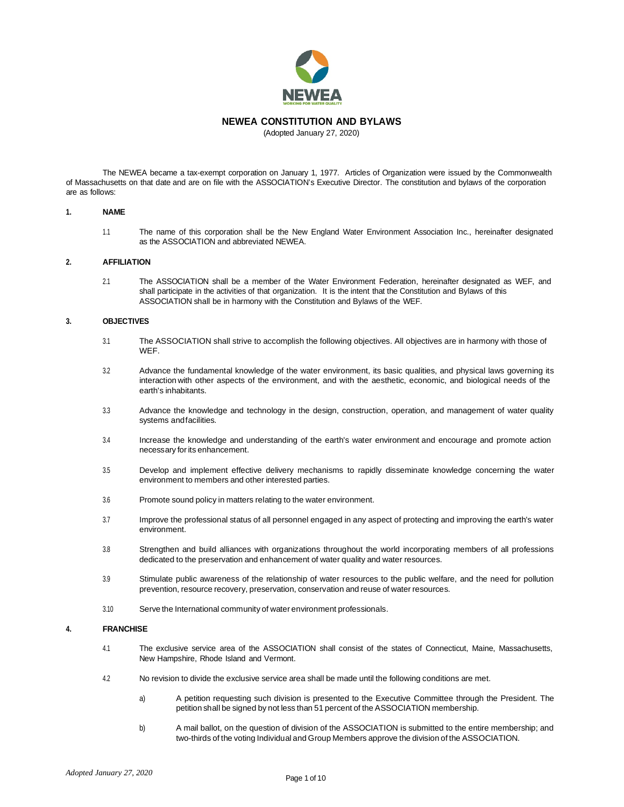

## **NEWEA CONSTITUTION AND BYLAWS**

(Adopted January 27, 2020)

The NEWEA became a tax-exempt corporation on January 1, 1977. Articles of Organization were issued by the Commonwealth of Massachusetts on that date and are on file with the ASSOCIATION's Executive Director. The constitution and bylaws of the corporation are as follows:

#### **1. NAME**

1.1 The name of this corporation shall be the New England Water Environment Association Inc., hereinafter designated as the ASSOCIATION and abbreviated NEWEA.

### **2. AFFILIATION**

2.1 The ASSOCIATION shall be a member of the Water Environment Federation, hereinafter designated as WEF, and shall participate in the activities of that organization. It is the intent that the Constitution and Bylaws of this ASSOCIATION shall be in harmony with the Constitution and Bylaws of the WEF.

## **3. OBJECTIVES**

- 3.1 The ASSOCIATION shall strive to accomplish the following objectives. All objectives are in harmony with those of WEF.
- 3.2 Advance the fundamental knowledge of the water environment, its basic qualities, and physical laws governing its interaction with other aspects of the environment, and with the aesthetic, economic, and biological needs of the earth's inhabitants.
- 3.3 Advance the knowledge and technology in the design, construction, operation, and management of water quality systems andfacilities.
- 3.4 Increase the knowledge and understanding of the earth's water environment and encourage and promote action necessary for its enhancement.
- 3.5 Develop and implement effective delivery mechanisms to rapidly disseminate knowledge concerning the water environment to members and other interested parties.
- 3.6 Promote sound policy in matters relating to the water environment.
- 3.7 Improve the professional status of all personnel engaged in any aspect of protecting and improving the earth's water environment.
- 3.8 Strengthen and build alliances with organizations throughout the world incorporating members of all professions dedicated to the preservation and enhancement of water quality and water resources.
- 3.9 Stimulate public awareness of the relationship of water resources to the public welfare, and the need for pollution prevention, resource recovery, preservation, conservation and reuse of water resources.
- 3.10 Serve the International community of water environment professionals.

## **4. FRANCHISE**

- 4.1 The exclusive service area of the ASSOCIATION shall consist of the states of Connecticut, Maine, Massachusetts, New Hampshire, Rhode Island and Vermont.
- 4.2 No revision to divide the exclusive service area shall be made until the following conditions are met.
	- a) A petition requesting such division is presented to the Executive Committee through the President. The petition shall be signed by not less than 51 percent of the ASSOCIATION membership.
	- b) A mail ballot, on the question of division of the ASSOCIATION is submitted to the entire membership; and two-thirds of the voting Individual and Group Members approve the division of the ASSOCIATION.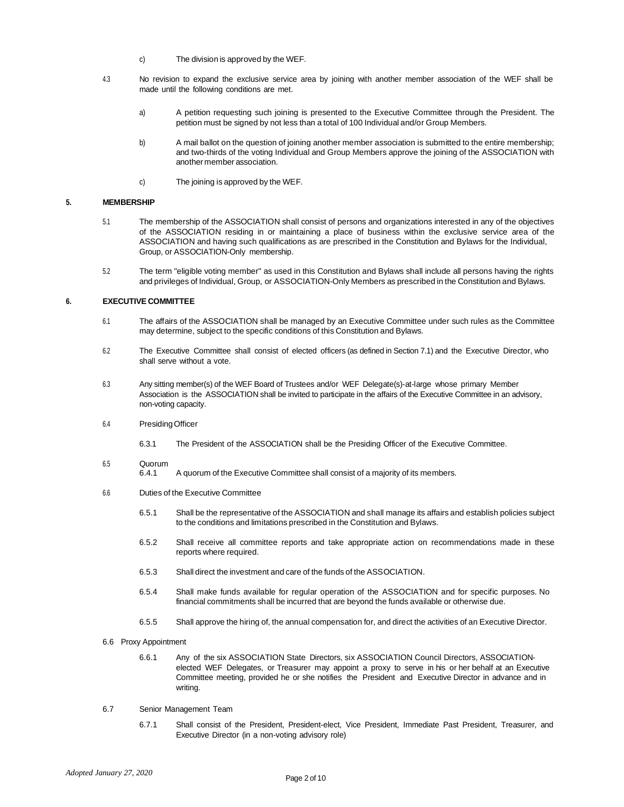- c) The division is approved by the WEF.
- 4.3 No revision to expand the exclusive service area by joining with another member association of the WEF shall be made until the following conditions are met.
	- a) A petition requesting such joining is presented to the Executive Committee through the President. The petition must be signed by not less than a total of 100 Individual and/or Group Members.
	- b) A mail ballot on the question of joining another member association is submitted to the entire membership; and two-thirds of the voting Individual and Group Members approve the joining of the ASSOCIATION with another member association.
	- c) The joining is approved by the WEF.

## **5. MEMBERSHIP**

- 5.1 The membership of the ASSOCIATION shall consist of persons and organizations interested in any of the objectives of the ASSOCIATION residing in or maintaining a place of business within the exclusive service area of the ASSOCIATION and having such qualifications as are prescribed in the Constitution and Bylaws for the Individual, Group, or ASSOCIATION-Only membership.
- 5.2 The term "eligible voting member" as used in this Constitution and Bylaws shall include all persons having the rights and privileges of Individual, Group, or ASSOCIATION-Only Members as prescribed in the Constitution and Bylaws.

## **6. EXECUTIVE COMMITTEE**

- 6.1 The affairs of the ASSOCIATION shall be managed by an Executive Committee under such rules as the Committee may determine, subject to the specific conditions of this Constitution and Bylaws.
- 6.2 The Executive Committee shall consist of elected officers (as defined in Section 7.1) and the Executive Director, who shall serve without a vote.
- 6.3 Any sitting member(s) of the WEF Board of Trustees and/or WEF Delegate(s)-at-large whose primary Member Association is the ASSOCIATION shall be invited to participate in the affairs of the Executive Committee in an advisory, non-voting capacity.
- 6.4 PresidingOfficer
	- 6.3.1 The President of the ASSOCIATION shall be the Presiding Officer of the Executive Committee.
- 6.5 Quorum
	- 6.4.1 A quorum of the Executive Committee shall consist of a majority of its members.
- 6.6 Duties of the Executive Committee
	- 6.5.1 Shall be the representative of the ASSOCIATION and shall manage its affairs and establish policies subject to the conditions and limitations prescribed in the Constitution and Bylaws.
	- 6.5.2 Shall receive all committee reports and take appropriate action on recommendations made in these reports where required.
	- 6.5.3 Shall direct the investment and care of the funds of the ASSOCIATION.
	- 6.5.4 Shall make funds available for regular operation of the ASSOCIATION and for specific purposes. No financial commitments shall be incurred that are beyond the funds available or otherwise due.
	- 6.5.5 Shall approve the hiring of, the annual compensation for, and direct the activities of an Executive Director.
- 6.6 Proxy Appointment
	- 6.6.1 Any of the six ASSOCIATION State Directors, six ASSOCIATION Council Directors, ASSOCIATIONelected WEF Delegates, or Treasurer may appoint a proxy to serve in his or her behalf at an Executive Committee meeting, provided he or she notifies the President and Executive Director in advance and in writing.
- 6.7 Senior Management Team
	- 6.7.1 Shall consist of the President, President-elect, Vice President, Immediate Past President, Treasurer, and Executive Director (in a non-voting advisory role)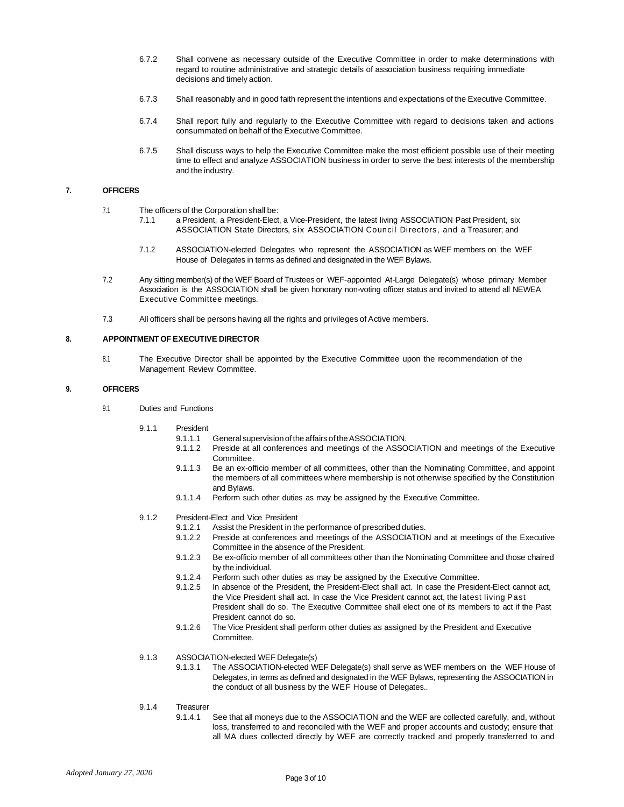- 6.7.2 Shall convene as necessary outside of the Executive Committee in order to make determinations with regard to routine administrative and strategic details of association business requiring immediate decisions and timely action.
- 6.7.3 Shall reasonably and in good faith represent the intentions and expectations of the Executive Committee.
- 6.7.4 Shall report fully and regularly to the Executive Committee with regard to decisions taken and actions consummated on behalf of the Executive Committee.
- 6.7.5 Shall discuss ways to help the Executive Committee make the most efficient possible use of their meeting time to effect and analyze ASSOCIATION business in order to serve the best interests of the membership and the industry.

### **7. OFFICERS**

- 7.1 The officers of the Corporation shall be:
	- 7.1.1 a President, a President-Elect, a Vice-President, the latest living ASSOCIATION Past President, six ASSOCIATION State Directors, six ASSOCIATION Council Directors, and a Treasurer; and
	- 7.1.2 ASSOCIATION-elected Delegates who represent the ASSOCIATION as WEF members on the WEF House of Delegates in terms as defined and designated in the WEF Bylaws.
- 7.2 Any sitting member(s) of the WEF Board of Trustees or WEF-appointed At-Large Delegate(s) whose primary Member Association is the ASSOCIATION shall be given honorary non-voting officer status and invited to attend all NEWEA Executive Committee meetings.
- 7.3 All officers shall be persons having all the rights and privileges of Active members.

### **8. APPOINTMENT OF EXECUTIVE DIRECTOR**

8.1 The Executive Director shall be appointed by the Executive Committee upon the recommendation of the Management Review Committee.

### **9. OFFICERS**

- 9.1 Duties and Functions
	- 9.1.1 President
		- 9.1.1.1 General supervision of the affairs oftheASSOCIATION.
		- 9.1.1.2 Preside at all conferences and meetings of the ASSOCIATION and meetings of the Executive Committee.
		- 9.1.1.3 Be an ex-officio member of all committees, other than the Nominating Committee, and appoint the members of all committees where membership is not otherwise specified by the Constitution and Bylaws.
		- 9.1.1.4 Perform such other duties as may be assigned by the Executive Committee.
	- 9.1.2 President-Flect and Vice President
		- 9.1.2.1 Assist the President in the performance of prescribed duties.
		- 9.1.2.2 Preside at conferences and meetings of the ASSOCIATION and at meetings of the Executive Committee in the absence of the President.
		- 9.1.2.3 Be ex-officio member of all committees other than the Nominating Committee and those chaired by the individual.
		- 9.1.2.4 Perform such other duties as may be assigned by the Executive Committee.<br>9.1.2.5 In absence of the President, the President-Elect shall act. In case the President
		- In absence of the President, the President-Elect shall act. In case the President-Elect cannot act, the Vice President shall act. In case the Vice President cannot act, the latest living Past President shall do so. The Executive Committee shall elect one of its members to act if the Past President cannot do so.
		- 9.1.2.6 The Vice President shall perform other duties as assigned by the President and Executive Committee.

9.1.3 ASSOCIATION-elected WEF Delegate(s)

- 9.1.3.1 The ASSOCIATION-elected WEF Delegate(s) shall serve as WEF members on the WEF House of Delegates, in terms as defined and designated in the WEF Bylaws, representing the ASSOCIATION in the conduct of all business by the WEF House of Delegates..
- 9.1.4 Treasurer<br>9.1.4.1
	- See that all moneys due to the ASSOCIATION and the WEF are collected carefully, and, without loss, transferred to and reconciled with the WEF and proper accounts and custody; ensure that all MA dues collected directly by WEF are correctly tracked and properly transferred to and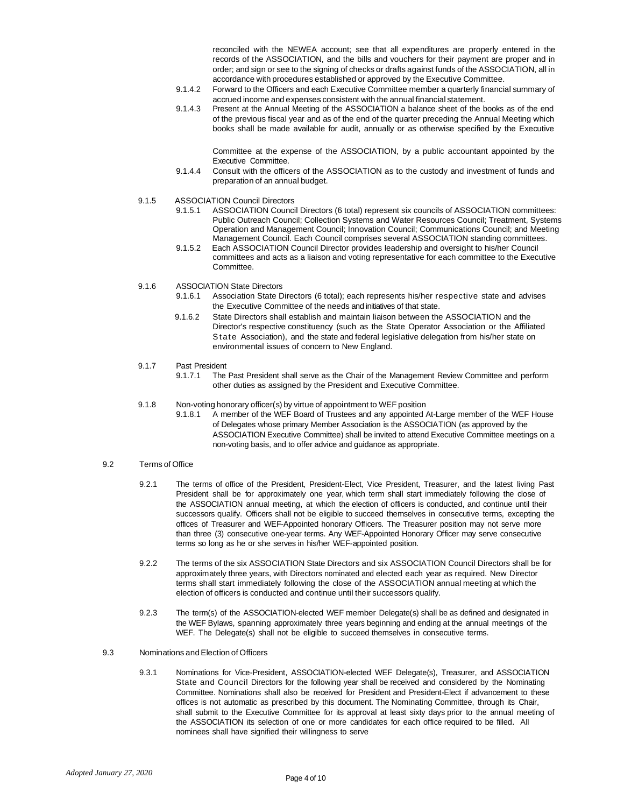reconciled with the NEWEA account; see that all expenditures are properly entered in the records of the ASSOCIATION, and the bills and vouchers for their payment are proper and in order; and sign or see to the signing of checks or drafts against funds of the ASSOCIATION, all in accordance with procedures established or approved by the Executive Committee.

- 9.1.4.2 Forward to the Officers and each Executive Committee member a quarterly financial summary of accrued income and expenses consistent with the annual financial statement.
- 9.1.4.3 Present at the Annual Meeting of the ASSOCIATION a balance sheet of the books as of the end of the previous fiscal year and as of the end of the quarter preceding the Annual Meeting which books shall be made available for audit, annually or as otherwise specified by the Executive

Committee at the expense of the ASSOCIATION, by a public accountant appointed by the Executive Committee.

- 9.1.4.4 Consult with the officers of the ASSOCIATION as to the custody and investment of funds and preparation of an annual budget.
- 9.1.5 ASSOCIATION Council Directors<br>9.1.5.1 ASSOCIATION Counci
	- 9.1.5.1 ASSOCIATION Council Directors (6 total) represent six councils of ASSOCIATION committees: Public Outreach Council; Collection Systems and Water Resources Council; Treatment, Systems Operation and Management Council; Innovation Council; Communications Council; and Meeting Management Council. Each Council comprises several ASSOCIATION standing committees.
	- 9.1.5.2 Each ASSOCIATION Council Director provides leadership and oversight to his/her Council committees and acts as a liaison and voting representative for each committee to the Executive Committee.

9.1.6 ASSOCIATION State Directors

- 9.1.6.1 Association State Directors (6 total); each represents his/her respective state and advises the Executive Committee of the needs and initiatives of that state.
- 9.1.6.2 State Directors shall establish and maintain liaison between the ASSOCIATION and the Director's respective constituency (such as the State Operator Association or the Affiliated State Association), and the state and federal legislative delegation from his/her state on environmental issues of concern to New England.
- 9.1.7 Past President<br>9.1.7.1 The
	- The Past President shall serve as the Chair of the Management Review Committee and perform other duties as assigned by the President and Executive Committee.
- 9.1.8 Non-voting honorary officer(s) by virtue of appointment to WEF position
	- 9.1.8.1 A member of the WEF Board of Trustees and any appointed At-Large member of the WEF House of Delegates whose primary Member Association is the ASSOCIATION (as approved by the ASSOCIATION Executive Committee) shall be invited to attend Executive Committee meetings on a non-voting basis, and to offer advice and guidance as appropriate.

## 9.2 Terms of Office

- 9.2.1 The terms of office of the President, President-Elect, Vice President, Treasurer, and the latest living Past President shall be for approximately one year, which term shall start immediately following the close of the ASSOCIATION annual meeting, at which the election of officers is conducted, and continue until their successors qualify. Officers shall not be eligible to succeed themselves in consecutive terms, excepting the offices of Treasurer and WEF-Appointed honorary Officers. The Treasurer position may not serve more than three (3) consecutive one-year terms. Any WEF-Appointed Honorary Officer may serve consecutive terms so long as he or she serves in his/her WEF-appointed position.
- 9.2.2 The terms of the six ASSOCIATION State Directors and six ASSOCIATION Council Directors shall be for approximately three years, with Directors nominated and elected each year as required. New Director terms shall start immediately following the close of the ASSOCIATION annual meeting at which the election of officers is conducted and continue until their successors qualify.
- 9.2.3 The term(s) of the ASSOCIATION-elected WEF member Delegate(s) shall be as defined and designated in the WEF Bylaws, spanning approximately three years beginning and ending at the annual meetings of the WEF. The Delegate(s) shall not be eligible to succeed themselves in consecutive terms.
- 9.3 Nominations and Election of Officers
	- 9.3.1 Nominations for Vice-President, ASSOCIATION-elected WEF Delegate(s), Treasurer, and ASSOCIATION State and Council Directors for the following year shall be received and considered by the Nominating Committee. Nominations shall also be received for President and President-Elect if advancement to these offices is not automatic as prescribed by this document. The Nominating Committee, through its Chair, shall submit to the Executive Committee for its approval at least sixty days prior to the annual meeting of the ASSOCIATION its selection of one or more candidates for each office required to be filled. All nominees shall have signified their willingness to serve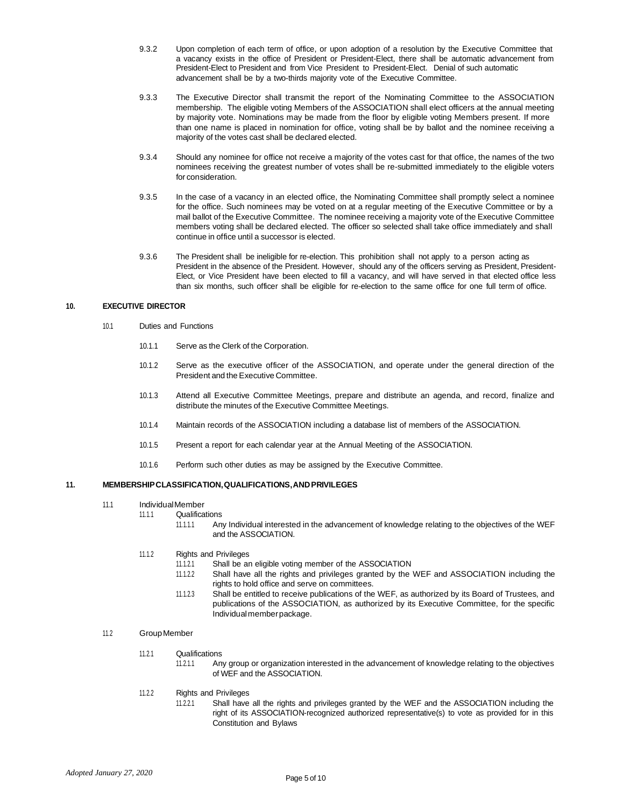- 9.3.2 Upon completion of each term of office, or upon adoption of a resolution by the Executive Committee that a vacancy exists in the office of President or President-Elect, there shall be automatic advancement from President-Elect to President and from Vice President to President-Elect. Denial of such automatic advancement shall be by a two-thirds majority vote of the Executive Committee.
- 9.3.3 The Executive Director shall transmit the report of the Nominating Committee to the ASSOCIATION membership. The eligible voting Members of the ASSOCIATION shall elect officers at the annual meeting by majority vote. Nominations may be made from the floor by eligible voting Members present. If more than one name is placed in nomination for office, voting shall be by ballot and the nominee receiving a majority of the votes cast shall be declared elected.
- 9.3.4 Should any nominee for office not receive a majority of the votes cast for that office, the names of the two nominees receiving the greatest number of votes shall be re-submitted immediately to the eligible voters for consideration.
- 9.3.5 In the case of a vacancy in an elected office, the Nominating Committee shall promptly select a nominee for the office. Such nominees may be voted on at a regular meeting of the Executive Committee or by a mail ballot of the Executive Committee. The nominee receiving a majority vote of the Executive Committee members voting shall be declared elected. The officer so selected shall take office immediately and shall continue in office until a successor is elected.
- 9.3.6 The President shall be ineligible for re-election. This prohibition shall not apply to a person acting as President in the absence of the President. However, should any of the officers serving as President, President-Elect, or Vice President have been elected to fill a vacancy, and will have served in that elected office less than six months, such officer shall be eligible for re-election to the same office for one full term of office.

## **10. EXECUTIVE DIRECTOR**

- 10.1 Duties and Functions
	- 10.1.1 Serve as the Clerk of the Corporation.
	- 10.1.2 Serve as the executive officer of the ASSOCIATION, and operate under the general direction of the President and the Executive Committee.
	- 10.1.3 Attend all Executive Committee Meetings, prepare and distribute an agenda, and record, finalize and distribute the minutes of the Executive Committee Meetings.
	- 10.1.4 Maintain records of the ASSOCIATION including a database list of members of the ASSOCIATION.
	- 10.1.5 Present a report for each calendar year at the Annual Meeting of the ASSOCIATION.
	- 10.1.6 Perform such other duties as may be assigned by the Executive Committee.

## **11. MEMBERSHIPCLASSIFICATION,QUALIFICATIONS,ANDPRIVILEGES**

## 11.1 Individual Member<br>1111 Oualifica

- **Qualifications** 
	- 11.1.1.1 Any Individual interested in the advancement of knowledge relating to the objectives of the WEF and the ASSOCIATION.
- 11.1.2 Rights and Privileges
	- 11.1.2.1 Shall be an eligible voting member of the ASSOCIATION
		- Shall have all the rights and privileges granted by the WEF and ASSOCIATION including the rights to hold office and serve on committees.
		- 11.1.2.3 Shall be entitled to receive publications of the WEF, as authorized by its Board of Trustees, and publications of the ASSOCIATION, as authorized by its Executive Committee, for the specific Individual member package.

## 11.2 Group Member

- 11.2.1 Qualifications
	- 11.2.1.1 Any group or organization interested in the advancement of knowledge relating to the objectives of WEF and the ASSOCIATION.
- 11.2.2 Rights and Privileges
	- 11.2.2.1 Shall have all the rights and privileges granted by the WEF and the ASSOCIATION including the right of its ASSOCIATION-recognized authorized representative(s) to vote as provided for in this Constitution and Bylaws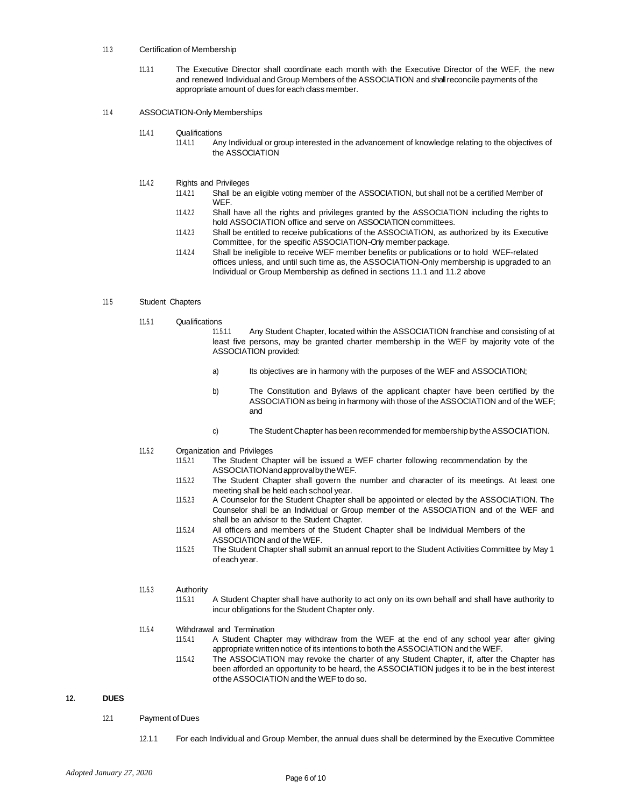### 11.3 Certification of Membership

11.3.1 The Executive Director shall coordinate each month with the Executive Director of the WEF, the new and renewed Individual and Group Members of the ASSOCIATION and shall reconcile payments of the appropriate amount of dues for each class member.

#### 11.4 ASSOCIATION-Only Memberships

- 11.4.1 Qualifications
	- 11.4.1.1 Any Individual or group interested in the advancement of knowledge relating to the objectives of the ASSOCIATION
- 11.4.2 Rights and Privileges
	- 11.4.2.1 Shall be an eligible voting member of the ASSOCIATION, but shall not be a certified Member of WEF.
	- 11.4.2.2 Shall have all the rights and privileges granted by the ASSOCIATION including the rights to hold ASSOCIATION office and serve on ASSOCIATION committees.
	- 11.4.2.3 Shall be entitled to receive publications of the ASSOCIATION, as authorized by its Executive Committee, for the specific ASSOCIATION-Only member package.
	- 11.4.2.4 Shall be ineligible to receive WEF member benefits or publications or to hold WEF-related offices unless, and until such time as, the ASSOCIATION-Only membership is upgraded to an Individual or Group Membership as defined in sections 11.1 and 11.2 above

### 11.5 Student Chapters

- 11.5.1 Qualifications
	- 11.5.1.1 Any Student Chapter, located within the ASSOCIATION franchise and consisting of at least five persons, may be granted charter membership in the WEF by majority vote of the ASSOCIATION provided:
	- a) Its objectives are in harmony with the purposes of the WEF and ASSOCIATION;
	- b) The Constitution and Bylaws of the applicant chapter have been certified by the ASSOCIATION as being in harmony with those of the ASSOCIATION and of the WEF; and
	- c) The Student Chapter has been recommended for membership by the ASSOCIATION.
- 11.5.2 Organization and Privileges
	- 11.5.2.1 The Student Chapter will be issued a WEF charter following recommendation by the ASSOCIATIONandapprovalbytheWEF.
	- 11.5.2.2 The Student Chapter shall govern the number and character of its meetings. At least one meeting shall be held each school year.
	- 11.5.2.3 A Counselor for the Student Chapter shall be appointed or elected by the ASSOCIATION. The Counselor shall be an Individual or Group member of the ASSOCIATION and of the WEF and shall be an advisor to the Student Chapter.
	- 11.5.2.4 All officers and members of the Student Chapter shall be Individual Members of the ASSOCIATION and of the WEF.
	- 11.5.2.5 The Student Chapter shall submit an annual report to the Student Activities Committee by May 1 of each year.

# 11.5.3 **Authority**<br>11.5.3.1

A Student Chapter shall have authority to act only on its own behalf and shall have authority to incur obligations for the Student Chapter only.

#### 11.5.4 Withdrawal and Termination

- 11.5.4.1 A Student Chapter may withdraw from the WEF at the end of any school year after giving appropriate written notice of its intentions to both the ASSOCIATION and the WEF.
- 11.5.4.2 The ASSOCIATION may revoke the charter of any Student Chapter, if, after the Chapter has been afforded an opportunity to be heard, the ASSOCIATION judges it to be in the best interest of the ASSOCIATION and the WEF to do so.

## **12. DUES**

- 12.1 Payment of Dues
	- 12.1.1 For each Individual and Group Member, the annual dues shall be determined by the Executive Committee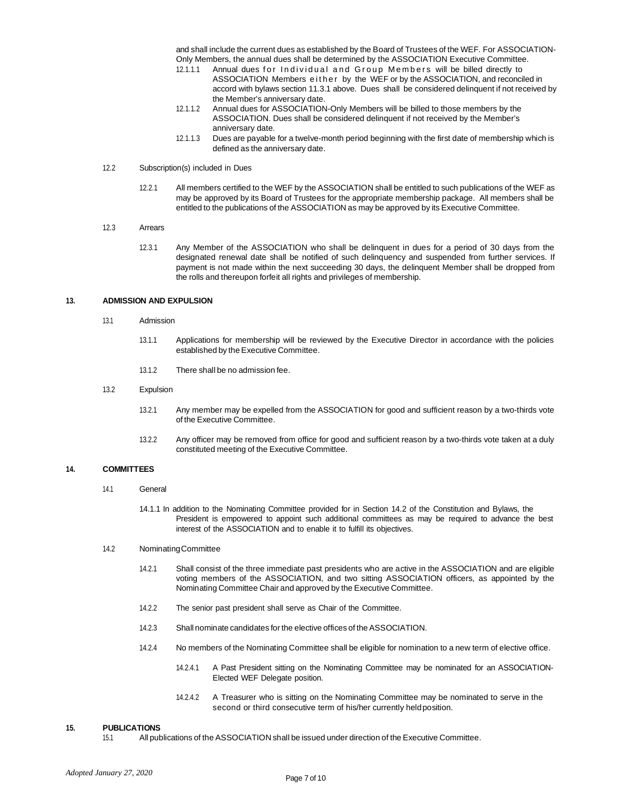and shall include the current dues as established by the Board of Trustees of the WEF. For ASSOCIATION-Only Members, the annual dues shall be determined by the ASSOCIATION Executive Committee.

- 12.1.1.1 Annual dues for Individual and Group Members will be billed directly to ASSOCIATION Members either by the WEF or by the ASSOCIATION, and reconciled in accord with bylaws section 11.3.1 above. Dues shall be considered delinquent if not received by the Member's anniversary date.
- 12.1.1.2 Annual dues for ASSOCIATION-Only Members will be billed to those members by the ASSOCIATION. Dues shall be considered delinquent if not received by the Member's anniversary date.
- 12.1.1.3 Dues are payable for a twelve-month period beginning with the first date of membership which is defined as the anniversary date.

### 12.2 Subscription(s) included in Dues

12.2.1 All members certified to the WEF by the ASSOCIATION shall be entitled to such publications of the WEF as may be approved by its Board of Trustees for the appropriate membership package. All members shall be entitled to the publications of the ASSOCIATION as may be approved by its Executive Committee.

#### 12.3 Arrears

12.3.1 Any Member of the ASSOCIATION who shall be delinquent in dues for a period of 30 days from the designated renewal date shall be notified of such delinquency and suspended from further services. If payment is not made within the next succeeding 30 days, the delinquent Member shall be dropped from the rolls and thereupon forfeit all rights and privileges of membership.

#### **13. ADMISSION AND EXPULSION**

- 13.1 Admission
	- 13.1.1 Applications for membership will be reviewed by the Executive Director in accordance with the policies established by the Executive Committee.
	- 13.1.2 There shall be no admission fee.

#### 13.2 Expulsion

- 13.2.1 Any member may be expelled from the ASSOCIATION for good and sufficient reason by a two-thirds vote of the Executive Committee.
- 13.2.2 Any officer may be removed from office for good and sufficient reason by a two-thirds vote taken at a duly constituted meeting of the Executive Committee.

#### **14. COMMITTEES**

- 14.1 General
	- 14.1.1 In addition to the Nominating Committee provided for in Section 14.2 of the Constitution and Bylaws, the President is empowered to appoint such additional committees as may be required to advance the best interest of the ASSOCIATION and to enable it to fulfill its objectives.

#### 14.2 NominatingCommittee

- 14.2.1 Shall consist of the three immediate past presidents who are active in the ASSOCIATION and are eligible voting members of the ASSOCIATION, and two sitting ASSOCIATION officers, as appointed by the Nominating Committee Chair and approved by the Executive Committee.
- 14.2.2 The senior past president shall serve as Chair of the Committee.
- 14.2.3 Shall nominate candidates for the elective offices of the ASSOCIATION.
- 14.2.4 No members of the Nominating Committee shall be eligible for nomination to a new term of elective office.
	- 14.2.4.1 A Past President sitting on the Nominating Committee may be nominated for an ASSOCIATION-Elected WEF Delegate position.
	- 14.2.4.2 A Treasurer who is sitting on the Nominating Committee may be nominated to serve in the second or third consecutive term of his/her currently heldposition.

#### **15. PUBLICATIONS**

15.1 All publications of the ASSOCIATION shall be issued under direction of the Executive Committee.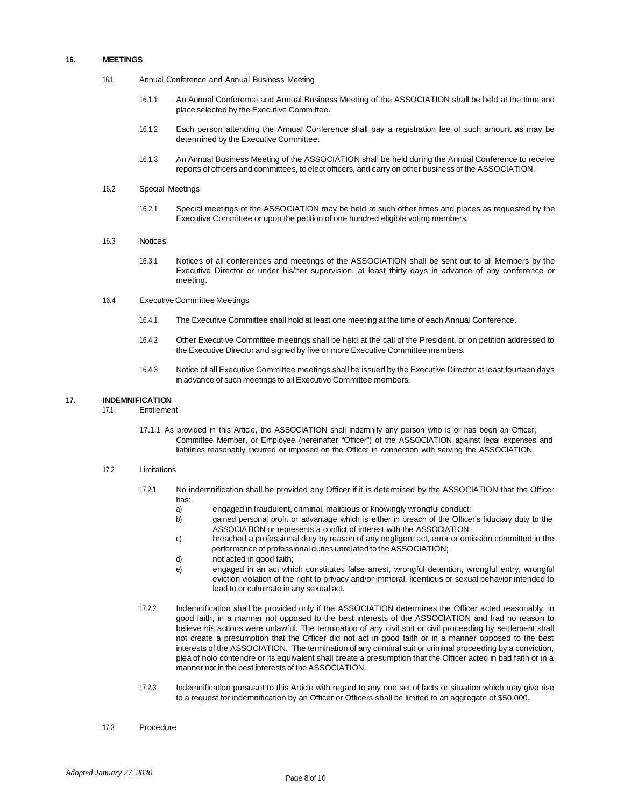#### **16. MEETINGS**

- 16.1 Annual Conference and Annual Business Meeting
	- 16.1.1 An Annual Conference and Annual Business Meeting of the ASSOCIATION shall be held at the time and place selected by the Executive Committee.
	- 16.1.2 Each person attending the Annual Conference shall pay a registration fee of such amount as may be determined by the Executive Committee.
	- 16.1.3 An Annual Business Meeting of the ASSOCIATION shall be held during the Annual Conference to receive reports of officers and committees, to elect officers, and carry on other business of the ASSOCIATION.
- 16.2 Special Meetings
	- 16.2.1 Special meetings of the ASSOCIATION may be held at such other times and places as requested by the Executive Committee or upon the petition of one hundred eligible voting members.
- 16.3 Notices
	- 16.3.1 Notices of all conferences and meetings of the ASSOCIATION shall be sent out to all Members by the Executive Director or under his/her supervision, at least thirty days in advance of any conference or meeting.
- 16.4 ExecutiveCommittee Meetings
	- 16.4.1 The Executive Committee shall hold at least one meeting at the time of each Annual Conference.
	- 16.4.2 Other Executive Committee meetings shall be held at the call of the President, or on petition addressed to the Executive Director and signed by five or more Executive Committee members.
	- 16.4.3 Notice of all Executive Committee meetings shall be issued by the Executive Director at least fourteen days in advance of such meetings to all Executive Committee members.

## **17. INDEMNIFICATION**

- **Entitlement** 
	- 17.1.1 As provided in this Article, the ASSOCIATION shall indemnify any person who is or has been an Officer, Committee Member, or Employee (hereinafter "Officer") of the ASSOCIATION against legal expenses and liabilities reasonably incurred or imposed on the Officer in connection with serving the ASSOCIATION.

#### 17.2 Limitations

- 17.2.1 No indemnification shall be provided any Officer if it is determined by the ASSOCIATION that the Officer has:
	- a) engaged in fraudulent, criminal, malicious or knowingly wrongful conduct:
	- b) gained personal profit or advantage which is either in breach of the Officer's fiduciary duty to the ASSOCIATION or represents a conflict of interest with the ASSOCIATION:
	- c) breached a professional duty by reason of any negligent act, error or omission committed in the performance of professional duties unrelated to the ASSOCIATION;
	- d) not acted in good faith;
	- e) engaged in an act which constitutes false arrest, wrongful detention, wrongful entry, wrongful eviction violation of the right to privacy and/or immoral, licentious or sexual behavior intended to lead to or culminate in any sexual act.
- 17.2.2 Indemnification shall be provided only if the ASSOCIATION determines the Officer acted reasonably, in good faith, in a manner not opposed to the best interests of the ASSOCIATION and had no reason to believe his actions were unlawful. The termination of any civil suit or civil proceeding by settlement shall not create a presumption that the Officer did not act in good faith or in a manner opposed to the best interests of the ASSOCIATION. The termination of any criminal suit or criminal proceeding by a conviction, plea of nolo contendre or its equivalent shall create a presumption that the Officer acted in bad faith or in a manner not in the best interests of the ASSOCIATION.
- 17.2.3 Indemnification pursuant to this Article with regard to any one set of facts or situation which may give rise to a request for indemnification by an Officer or Officers shall be limited to an aggregate of \$50,000.
- 17.3 Procedure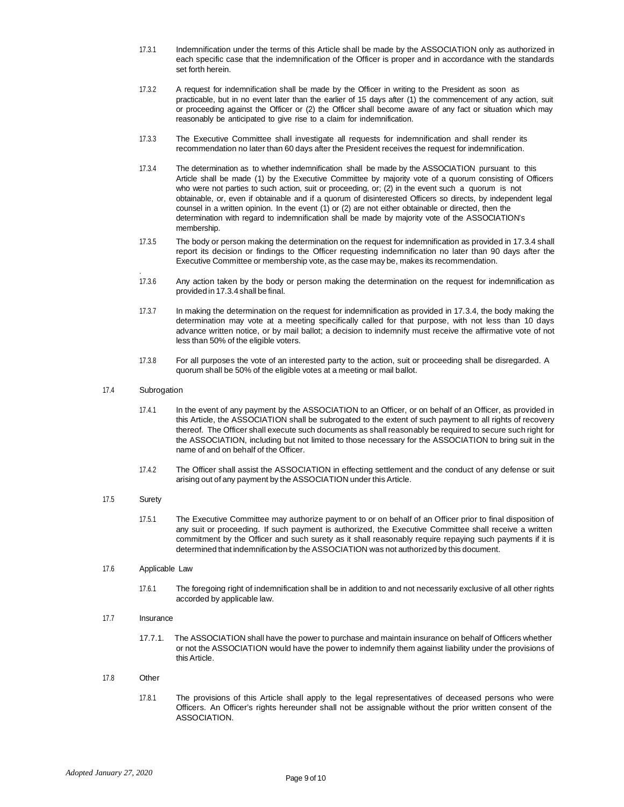- 17.3.1 Indemnification under the terms of this Article shall be made by the ASSOCIATION only as authorized in each specific case that the indemnification of the Officer is proper and in accordance with the standards set forth herein.
- 17.3.2 A request for indemnification shall be made by the Officer in writing to the President as soon as practicable, but in no event later than the earlier of 15 days after (1) the commencement of any action, suit or proceeding against the Officer or (2) the Officer shall become aware of any fact or situation which may reasonably be anticipated to give rise to a claim for indemnification.
- 17.3.3 The Executive Committee shall investigate all requests for indemnification and shall render its recommendation no later than 60 days after the President receives the request for indemnification.
- 17.3.4 The determination as to whether indemnification shall be made by the ASSOCIATION pursuant to this Article shall be made (1) by the Executive Committee by majority vote of a quorum consisting of Officers who were not parties to such action, suit or proceeding, or; (2) in the event such a quorum is not obtainable, or, even if obtainable and if a quorum of disinterested Officers so directs, by independent legal counsel in a written opinion. In the event (1) or (2) are not either obtainable or directed, then the determination with regard to indemnification shall be made by majority vote of the ASSOCIATION's membership.
- 17.3.5 The body or person making the determination on the request for indemnification as provided in 17.3.4 shall report its decision or findings to the Officer requesting indemnification no later than 90 days after the Executive Committee or membership vote, as the case may be, makes its recommendation.
- 17.3.6 Any action taken by the body or person making the determination on the request for indemnification as provided in 17.3.4 shall be final.
- 17.3.7 In making the determination on the request for indemnification as provided in 17.3.4, the body making the determination may vote at a meeting specifically called for that purpose, with not less than 10 days advance written notice, or by mail ballot; a decision to indemnify must receive the affirmative vote of not less than 50% of the eligible voters.
- 17.3.8 For all purposes the vote of an interested party to the action, suit or proceeding shall be disregarded. A quorum shall be 50% of the eligible votes at a meeting or mail ballot.

## 17.4 Subrogation

.

- 17.4.1 In the event of any payment by the ASSOCIATION to an Officer, or on behalf of an Officer, as provided in this Article, the ASSOCIATION shall be subrogated to the extent of such payment to all rights of recovery thereof. The Officer shall execute such documents as shall reasonably be required to secure such right for the ASSOCIATION, including but not limited to those necessary for the ASSOCIATION to bring suit in the name of and on behalf of the Officer.
- 17.4.2 The Officer shall assist the ASSOCIATION in effecting settlement and the conduct of any defense or suit arising out of any payment by the ASSOCIATION under this Article.

#### 17.5 Surety

17.5.1 The Executive Committee may authorize payment to or on behalf of an Officer prior to final disposition of any suit or proceeding. If such payment is authorized, the Executive Committee shall receive a written commitment by the Officer and such surety as it shall reasonably require repaying such payments if it is determined that indemnification by the ASSOCIATION was not authorized by this document.

#### 17.6 Applicable Law

- 17.6.1 The foregoing right of indemnification shall be in addition to and not necessarily exclusive of all other rights accorded by applicable law.
- 17.7 Insurance
	- 17.7.1. The ASSOCIATION shall have the power to purchase and maintain insurance on behalf of Officers whether or not the ASSOCIATION would have the power to indemnify them against liability under the provisions of thisArticle.

#### 17.8 Other

17.8.1 The provisions of this Article shall apply to the legal representatives of deceased persons who were Officers. An Officer's rights hereunder shall not be assignable without the prior written consent of the ASSOCIATION.